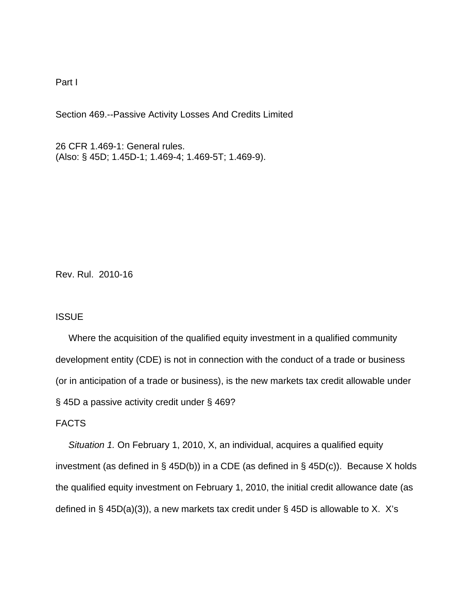Part I

Section 469.--Passive Activity Losses And Credits Limited

26 CFR 1.469-1: General rules. (Also: § 45D; 1.45D-1; 1.469-4; 1.469-5T; 1.469-9).

Rev. Rul. 2010-16

### **ISSUE**

 Where the acquisition of the qualified equity investment in a qualified community development entity (CDE) is not in connection with the conduct of a trade or business (or in anticipation of a trade or business), is the new markets tax credit allowable under § 45D a passive activity credit under § 469?

## FACTS

 *Situation 1.* On February 1, 2010, X, an individual, acquires a qualified equity investment (as defined in § 45D(b)) in a CDE (as defined in § 45D(c)). Because X holds the qualified equity investment on February 1, 2010, the initial credit allowance date (as defined in  $\S$  45D(a)(3)), a new markets tax credit under  $\S$  45D is allowable to X. X's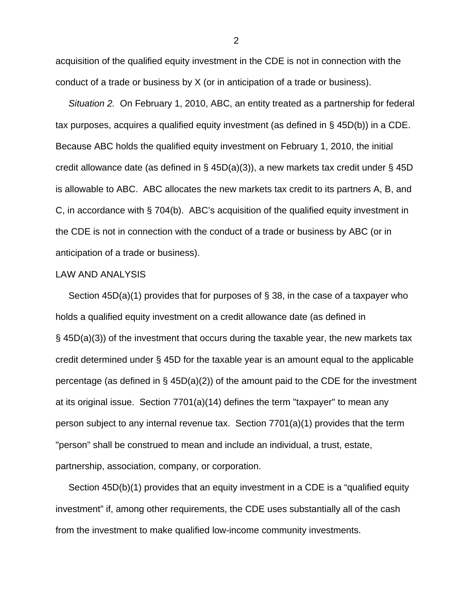acquisition of the qualified equity investment in the CDE is not in connection with the conduct of a trade or business by X (or in anticipation of a trade or business).

 *Situation 2.* On February 1, 2010, ABC, an entity treated as a partnership for federal tax purposes, acquires a qualified equity investment (as defined in § 45D(b)) in a CDE. Because ABC holds the qualified equity investment on February 1, 2010, the initial credit allowance date (as defined in § 45D(a)(3)), a new markets tax credit under § 45D is allowable to ABC. ABC allocates the new markets tax credit to its partners A, B, and C, in accordance with § 704(b). ABC's acquisition of the qualified equity investment in the CDE is not in connection with the conduct of a trade or business by ABC (or in anticipation of a trade or business).

### LAW AND ANALYSIS

 Section 45D(a)(1) provides that for purposes of § 38, in the case of a taxpayer who holds a qualified equity investment on a credit allowance date (as defined in § 45D(a)(3)) of the investment that occurs during the taxable year, the new markets tax credit determined under § 45D for the taxable year is an amount equal to the applicable percentage (as defined in § 45D(a)(2)) of the amount paid to the CDE for the investment at its original issue. Section 7701(a)(14) defines the term "taxpayer" to mean any person subject to any internal revenue tax. Section 7701(a)(1) provides that the term "person" shall be construed to mean and include an individual, a trust, estate, partnership, association, company, or corporation.

 Section 45D(b)(1) provides that an equity investment in a CDE is a "qualified equity investment" if, among other requirements, the CDE uses substantially all of the cash from the investment to make qualified low-income community investments.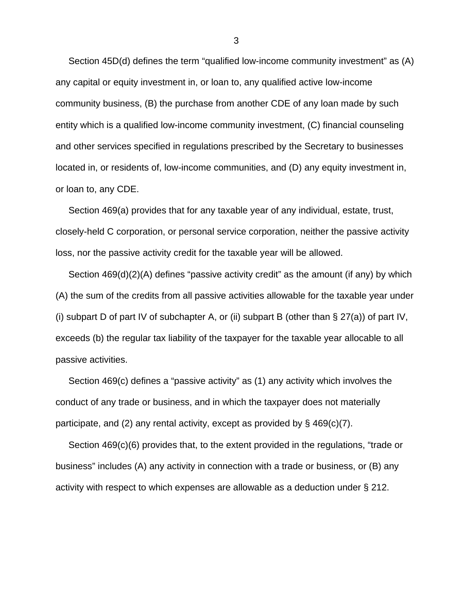Section 45D(d) defines the term "qualified low-income community investment" as (A) any capital or equity investment in, or loan to, any qualified active low-income community business, (B) the purchase from another CDE of any loan made by such entity which is a qualified low-income community investment, (C) financial counseling and other services specified in regulations prescribed by the Secretary to businesses located in, or residents of, low-income communities, and (D) any equity investment in, or loan to, any CDE.

 Section 469(a) provides that for any taxable year of any individual, estate, trust, closely-held C corporation, or personal service corporation, neither the passive activity loss, nor the passive activity credit for the taxable year will be allowed.

 Section 469(d)(2)(A) defines "passive activity credit" as the amount (if any) by which (A) the sum of the credits from all passive activities allowable for the taxable year under (i) subpart D of part IV of subchapter A, or (ii) subpart B (other than  $\S 27(a)$ ) of part IV, exceeds (b) the regular tax liability of the taxpayer for the taxable year allocable to all passive activities.

 Section 469(c) defines a "passive activity" as (1) any activity which involves the conduct of any trade or business, and in which the taxpayer does not materially participate, and (2) any rental activity, except as provided by § 469(c)(7).

 Section 469(c)(6) provides that, to the extent provided in the regulations, "trade or business" includes (A) any activity in connection with a trade or business, or (B) any activity with respect to which expenses are allowable as a deduction under § 212.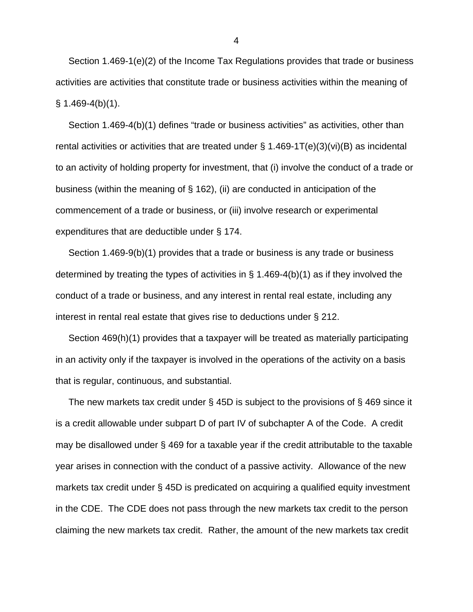Section 1.469-1(e)(2) of the Income Tax Regulations provides that trade or business activities are activities that constitute trade or business activities within the meaning of  $§ 1.469-4(b)(1).$ 

 Section 1.469-4(b)(1) defines "trade or business activities" as activities, other than rental activities or activities that are treated under § 1.469-1T(e)(3)(vi)(B) as incidental to an activity of holding property for investment, that (i) involve the conduct of a trade or business (within the meaning of § 162), (ii) are conducted in anticipation of the commencement of a trade or business, or (iii) involve research or experimental expenditures that are deductible under § 174.

 Section 1.469-9(b)(1) provides that a trade or business is any trade or business determined by treating the types of activities in § 1.469-4(b)(1) as if they involved the conduct of a trade or business, and any interest in rental real estate, including any interest in rental real estate that gives rise to deductions under § 212.

 Section 469(h)(1) provides that a taxpayer will be treated as materially participating in an activity only if the taxpayer is involved in the operations of the activity on a basis that is regular, continuous, and substantial.

 The new markets tax credit under § 45D is subject to the provisions of § 469 since it is a credit allowable under subpart D of part IV of subchapter A of the Code. A credit may be disallowed under § 469 for a taxable year if the credit attributable to the taxable year arises in connection with the conduct of a passive activity. Allowance of the new markets tax credit under § 45D is predicated on acquiring a qualified equity investment in the CDE. The CDE does not pass through the new markets tax credit to the person claiming the new markets tax credit. Rather, the amount of the new markets tax credit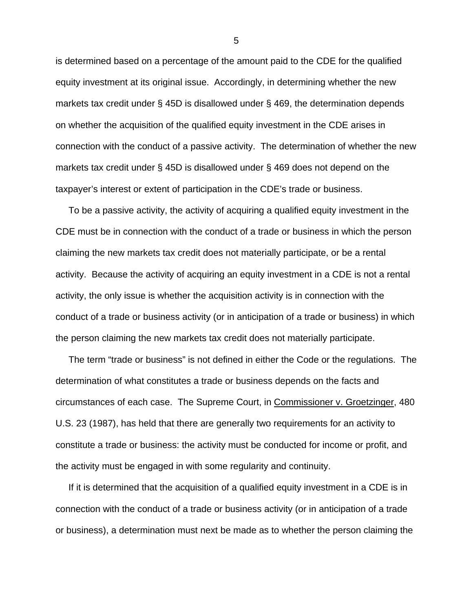is determined based on a percentage of the amount paid to the CDE for the qualified equity investment at its original issue. Accordingly, in determining whether the new markets tax credit under § 45D is disallowed under § 469, the determination depends on whether the acquisition of the qualified equity investment in the CDE arises in connection with the conduct of a passive activity. The determination of whether the new markets tax credit under § 45D is disallowed under § 469 does not depend on the taxpayer's interest or extent of participation in the CDE's trade or business.

 To be a passive activity, the activity of acquiring a qualified equity investment in the CDE must be in connection with the conduct of a trade or business in which the person claiming the new markets tax credit does not materially participate, or be a rental activity. Because the activity of acquiring an equity investment in a CDE is not a rental activity, the only issue is whether the acquisition activity is in connection with the conduct of a trade or business activity (or in anticipation of a trade or business) in which the person claiming the new markets tax credit does not materially participate.

 The term "trade or business" is not defined in either the Code or the regulations. The determination of what constitutes a trade or business depends on the facts and circumstances of each case. The Supreme Court, in Commissioner v. Groetzinger, 480 U.S. 23 (1987), has held that there are generally two requirements for an activity to constitute a trade or business: the activity must be conducted for income or profit, and the activity must be engaged in with some regularity and continuity.

 If it is determined that the acquisition of a qualified equity investment in a CDE is in connection with the conduct of a trade or business activity (or in anticipation of a trade or business), a determination must next be made as to whether the person claiming the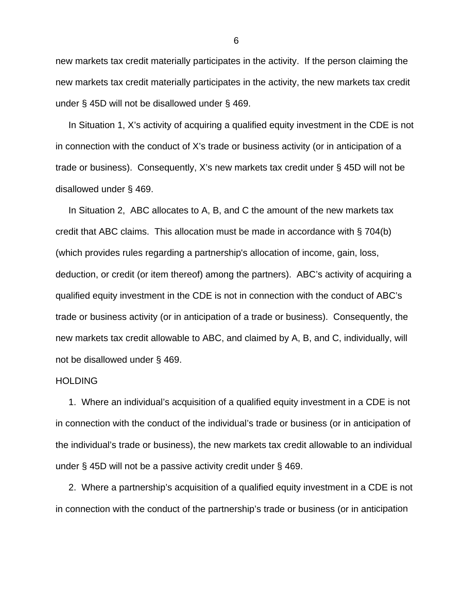new markets tax credit materially participates in the activity. If the person claiming the new markets tax credit materially participates in the activity, the new markets tax credit under § 45D will not be disallowed under § 469.

 In Situation 1, X's activity of acquiring a qualified equity investment in the CDE is not in connection with the conduct of X's trade or business activity (or in anticipation of a trade or business). Consequently, X's new markets tax credit under § 45D will not be disallowed under § 469.

 In Situation 2, ABC allocates to A, B, and C the amount of the new markets tax credit that ABC claims. This allocation must be made in accordance with § 704(b) (which provides rules regarding a partnership's allocation of income, gain, loss, deduction, or credit (or item thereof) among the partners). ABC's activity of acquiring a qualified equity investment in the CDE is not in connection with the conduct of ABC's trade or business activity (or in anticipation of a trade or business). Consequently, the new markets tax credit allowable to ABC, and claimed by A, B, and C, individually, will not be disallowed under § 469.

#### **HOLDING**

 1. Where an individual's acquisition of a qualified equity investment in a CDE is not in connection with the conduct of the individual's trade or business (or in anticipation of the individual's trade or business), the new markets tax credit allowable to an individual under § 45D will not be a passive activity credit under § 469.

 2. Where a partnership's acquisition of a qualified equity investment in a CDE is not in connection with the conduct of the partnership's trade or business (or in anticipation